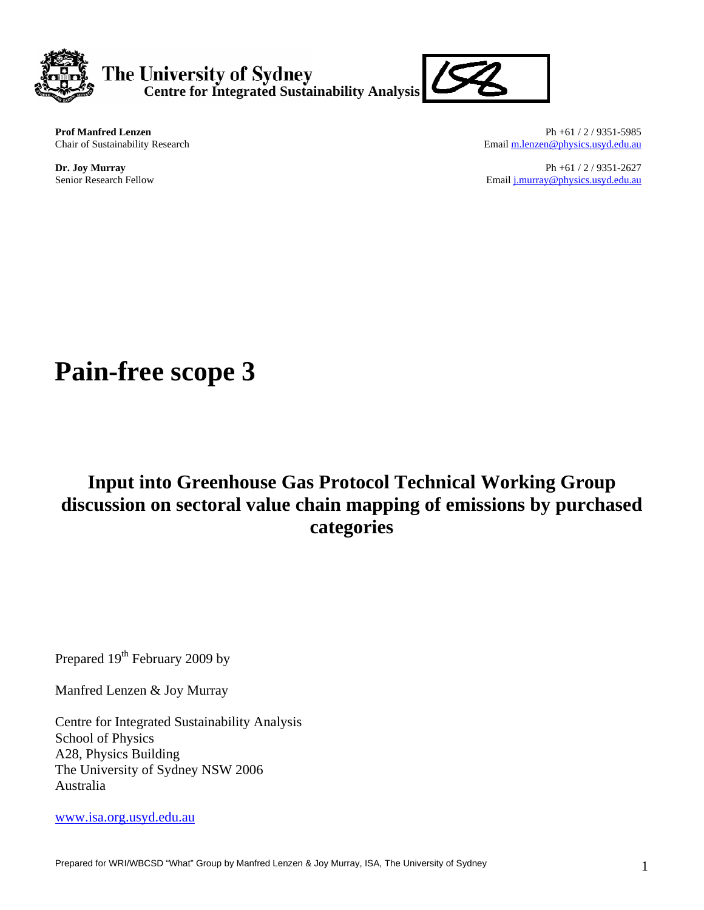



**Prof Manfred Lenzen**<br>
Ph +61 / 2 / 9351-5985<br>
Chair of Sustainability Research<br> **Ph +61** / 2 / 9351-5985<br>
Email <u>m.lenzen@physics.usyd.edu.au</u> Email m.lenzen@physics.usyd.edu.au

**Dr. Joy Murray** Ph +61 / 2 / 9351-2627 Senior Research Fellow Email [j.murray@physics.usyd.edu.au](mailto:j.murray@physics.usyd.edu.au) Senior Research Fellow

# **Pain-free scope 3**

# **Input into Greenhouse Gas Protocol Technical Working Group discussion on sectoral value chain mapping of emissions by purchased categories**

Prepared 19<sup>th</sup> February 2009 by

Manfred Lenzen & Joy Murray

Centre for Integrated Sustainability Analysis School of Physics A28, Physics Building The University of Sydney NSW 2006 Australia

[www.isa.org.usyd.edu.au](http://www.isa.org.usyd.edu.au/)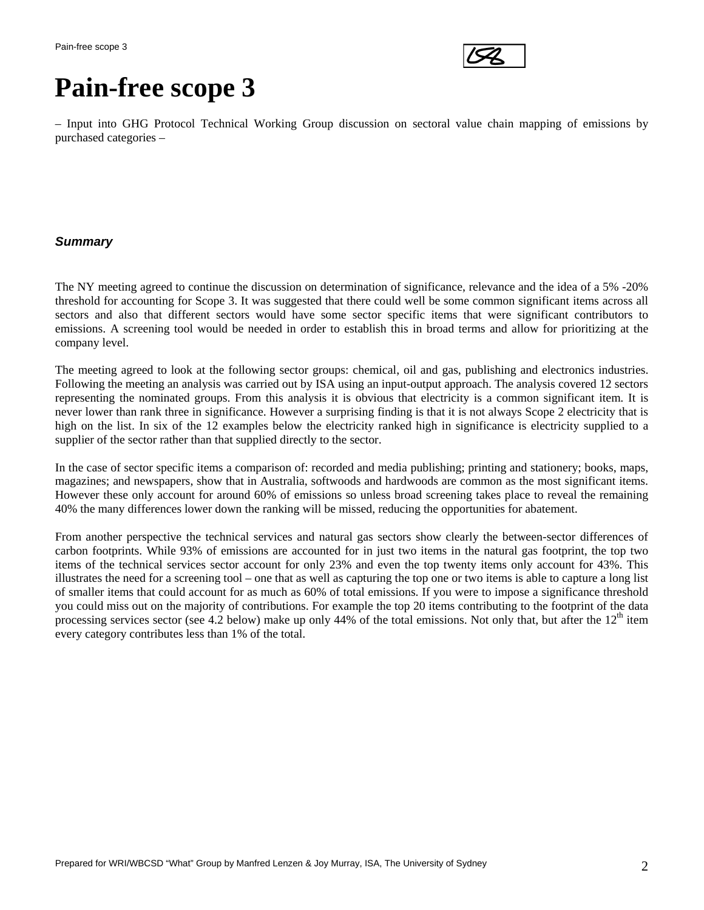

# **Pain-free scope 3**

– Input into GHG Protocol Technical Working Group discussion on sectoral value chain mapping of emissions by purchased categories –

#### *Summary*

The NY meeting agreed to continue the discussion on determination of significance, relevance and the idea of a 5% -20% threshold for accounting for Scope 3. It was suggested that there could well be some common significant items across all sectors and also that different sectors would have some sector specific items that were significant contributors to emissions. A screening tool would be needed in order to establish this in broad terms and allow for prioritizing at the company level.

The meeting agreed to look at the following sector groups: chemical, oil and gas, publishing and electronics industries. Following the meeting an analysis was carried out by ISA using an input-output approach. The analysis covered 12 sectors representing the nominated groups. From this analysis it is obvious that electricity is a common significant item. It is never lower than rank three in significance. However a surprising finding is that it is not always Scope 2 electricity that is high on the list. In six of the 12 examples below the electricity ranked high in significance is electricity supplied to a supplier of the sector rather than that supplied directly to the sector.

In the case of sector specific items a comparison of: recorded and media publishing; printing and stationery; books, maps, magazines; and newspapers, show that in Australia, softwoods and hardwoods are common as the most significant items. However these only account for around 60% of emissions so unless broad screening takes place to reveal the remaining 40% the many differences lower down the ranking will be missed, reducing the opportunities for abatement.

From another perspective the technical services and natural gas sectors show clearly the between-sector differences of carbon footprints. While 93% of emissions are accounted for in just two items in the natural gas footprint, the top two items of the technical services sector account for only 23% and even the top twenty items only account for 43%. This illustrates the need for a screening tool – one that as well as capturing the top one or two items is able to capture a long list of smaller items that could account for as much as 60% of total emissions. If you were to impose a significance threshold you could miss out on the majority of contributions. For example the top 20 items contributing to the footprint of the data processing services sector (see 4.2 below) make up only 44% of the total emissions. Not only that, but after the  $12<sup>th</sup>$  item every category contributes less than 1% of the total.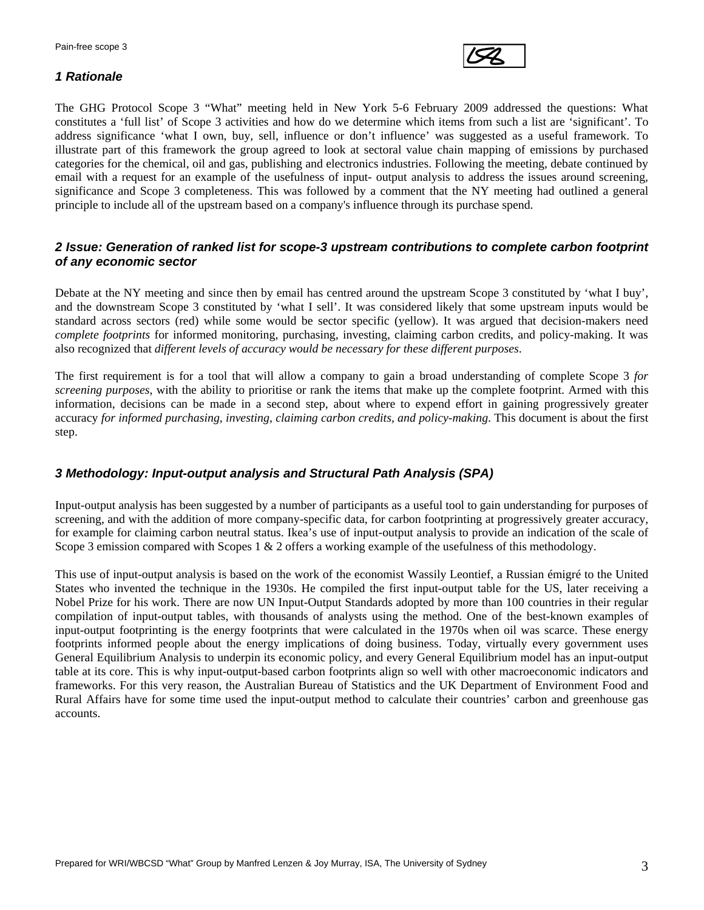

#### *1 Rationale*

The GHG Protocol Scope 3 "What" meeting held in New York 5-6 February 2009 addressed the questions: What constitutes a 'full list' of Scope 3 activities and how do we determine which items from such a list are 'significant'. To address significance 'what I own, buy, sell, influence or don't influence' was suggested as a useful framework. To illustrate part of this framework the group agreed to look at sectoral value chain mapping of emissions by purchased categories for the chemical, oil and gas, publishing and electronics industries. Following the meeting, debate continued by email with a request for an example of the usefulness of input- output analysis to address the issues around screening, significance and Scope 3 completeness. This was followed by a comment that the NY meeting had outlined a general principle to include all of the upstream based on a company's influence through its purchase spend.

#### *2 Issue: Generation of ranked list for scope-3 upstream contributions to complete carbon footprint of any economic sector*

Debate at the NY meeting and since then by email has centred around the upstream Scope 3 constituted by 'what I buy', and the downstream Scope 3 constituted by 'what I sell'. It was considered likely that some upstream inputs would be standard across sectors (red) while some would be sector specific (yellow). It was argued that decision-makers need *complete footprints* for informed monitoring, purchasing, investing, claiming carbon credits, and policy-making. It was also recognized that *different levels of accuracy would be necessary for these different purposes*.

The first requirement is for a tool that will allow a company to gain a broad understanding of complete Scope 3 *for screening purposes*, with the ability to prioritise or rank the items that make up the complete footprint. Armed with this information, decisions can be made in a second step, about where to expend effort in gaining progressively greater accuracy *for informed purchasing, investing, claiming carbon credits, and policy-making*. This document is about the first step.

#### *3 Methodology: Input-output analysis and Structural Path Analysis (SPA)*

Input-output analysis has been suggested by a number of participants as a useful tool to gain understanding for purposes of screening, and with the addition of more company-specific data, for carbon footprinting at progressively greater accuracy, for example for claiming carbon neutral status. Ikea's use of input-output analysis to provide an indication of the scale of Scope 3 emission compared with Scopes 1 & 2 offers a working example of the usefulness of this methodology.

This use of input-output analysis is based on the work of the economist Wassily Leontief, a Russian émigré to the United States who invented the technique in the 1930s. He compiled the first input-output table for the US, later receiving a Nobel Prize for his work. There are now UN Input-Output Standards adopted by more than 100 countries in their regular compilation of input-output tables, with thousands of analysts using the method. One of the best-known examples of input-output footprinting is the energy footprints that were calculated in the 1970s when oil was scarce. These energy footprints informed people about the energy implications of doing business. Today, virtually every government uses General Equilibrium Analysis to underpin its economic policy, and every General Equilibrium model has an input-output table at its core. This is why input-output-based carbon footprints align so well with other macroeconomic indicators and frameworks. For this very reason, the Australian Bureau of Statistics and the UK Department of Environment Food and Rural Affairs have for some time used the input-output method to calculate their countries' carbon and greenhouse gas accounts.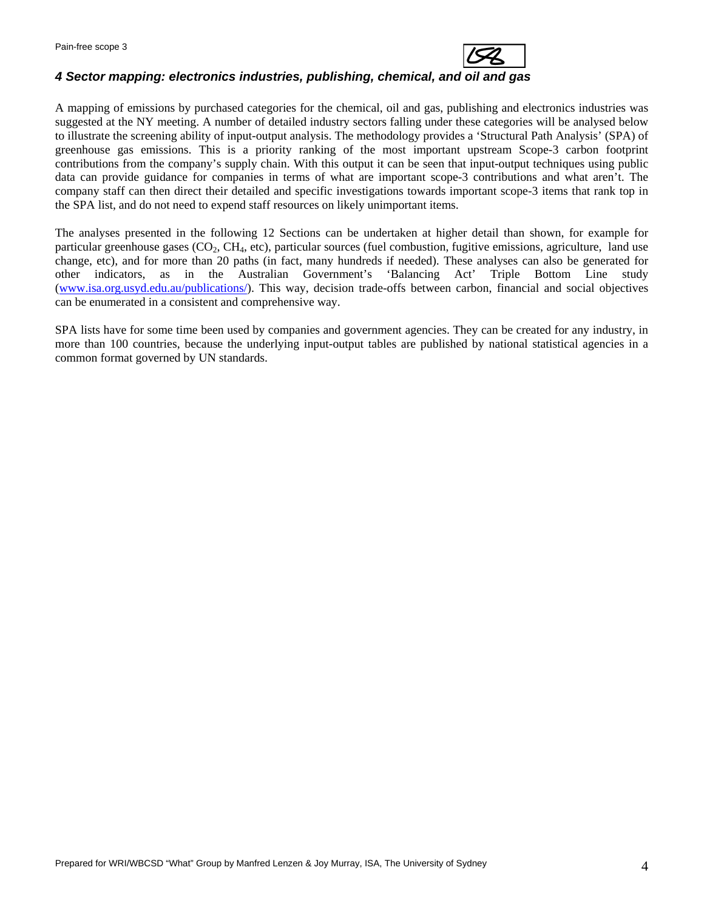

#### *4 Sector mapping: electronics industries, publishing, chemical, and oil and gas*

A mapping of emissions by purchased categories for the chemical, oil and gas, publishing and electronics industries was suggested at the NY meeting. A number of detailed industry sectors falling under these categories will be analysed below to illustrate the screening ability of input-output analysis. The methodology provides a 'Structural Path Analysis' (SPA) of greenhouse gas emissions. This is a priority ranking of the most important upstream Scope-3 carbon footprint contributions from the company's supply chain. With this output it can be seen that input-output techniques using public data can provide guidance for companies in terms of what are important scope-3 contributions and what aren't. The company staff can then direct their detailed and specific investigations towards important scope-3 items that rank top in the SPA list, and do not need to expend staff resources on likely unimportant items.

The analyses presented in the following 12 Sections can be undertaken at higher detail than shown, for example for particular greenhouse gases  $(CO_2, CH_4, etc)$ , particular sources (fuel combustion, fugitive emissions, agriculture, land use change, etc), and for more than 20 paths (in fact, many hundreds if needed). These analyses can also be generated for other indicators, as in the Australian Government's 'Balancing Act' Triple Bottom Line study [\(www.isa.org.usyd.edu.au/publications/](http://www.isa.org.usyd.edu.au/publications/)). This way, decision trade-offs between carbon, financial and social objectives can be enumerated in a consistent and comprehensive way.

SPA lists have for some time been used by companies and government agencies. They can be created for any industry, in more than 100 countries, because the underlying input-output tables are published by national statistical agencies in a common format governed by UN standards.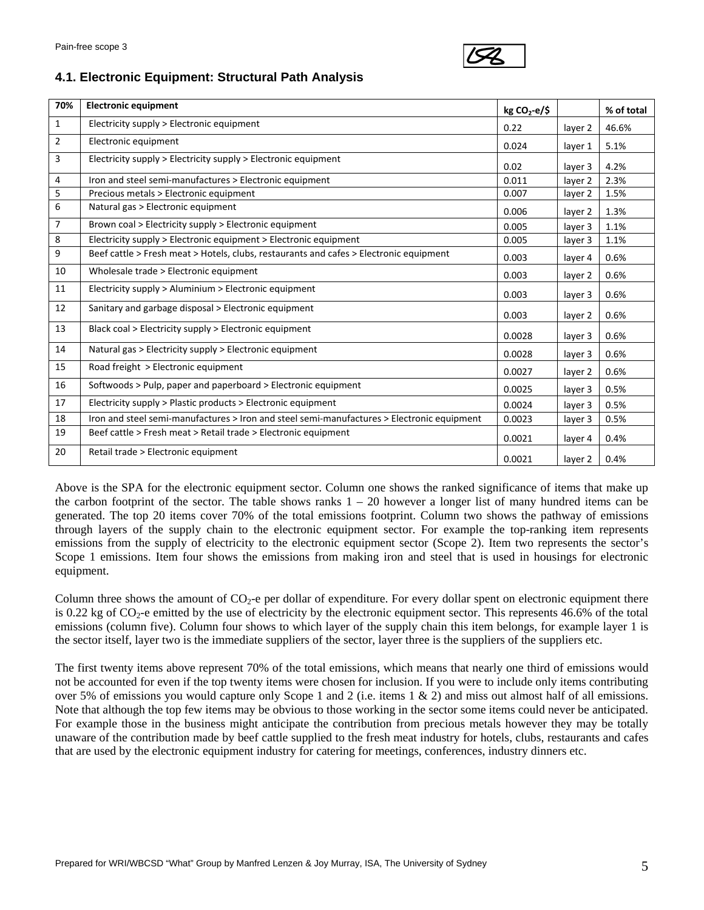

## **4.1. Electronic Equipment: Structural Path Analysis**

| 70%            | <b>Electronic equipment</b>                                                                | $kg CO2-e/5$ |         | % of total |
|----------------|--------------------------------------------------------------------------------------------|--------------|---------|------------|
| $\mathbf{1}$   | Electricity supply > Electronic equipment                                                  | 0.22         | layer 2 | 46.6%      |
| $\overline{2}$ | Electronic equipment                                                                       | 0.024        | layer 1 | 5.1%       |
| 3              | Electricity supply > Electricity supply > Electronic equipment                             | 0.02         | layer 3 | 4.2%       |
| 4              | Iron and steel semi-manufactures > Electronic equipment                                    | 0.011        | layer 2 | 2.3%       |
| 5              | Precious metals > Electronic equipment                                                     | 0.007        | layer 2 | 1.5%       |
| 6              | Natural gas > Electronic equipment                                                         | 0.006        | layer 2 | 1.3%       |
| $\overline{7}$ | Brown coal > Electricity supply > Electronic equipment                                     | 0.005        | layer 3 | 1.1%       |
| 8              | Electricity supply > Electronic equipment > Electronic equipment                           | 0.005        | layer 3 | 1.1%       |
| 9              | Beef cattle > Fresh meat > Hotels, clubs, restaurants and cafes > Electronic equipment     | 0.003        | layer 4 | 0.6%       |
| 10             | Wholesale trade > Electronic equipment                                                     | 0.003        | layer 2 | 0.6%       |
| 11             | Electricity supply > Aluminium > Electronic equipment                                      | 0.003        | layer 3 | 0.6%       |
| 12             | Sanitary and garbage disposal > Electronic equipment                                       | 0.003        | layer 2 | 0.6%       |
| 13             | Black coal > Electricity supply > Electronic equipment                                     | 0.0028       | layer 3 | 0.6%       |
| 14             | Natural gas > Electricity supply > Electronic equipment                                    | 0.0028       | layer 3 | 0.6%       |
| 15             | Road freight > Electronic equipment                                                        | 0.0027       | layer 2 | 0.6%       |
| 16             | Softwoods > Pulp, paper and paperboard > Electronic equipment                              | 0.0025       | layer 3 | 0.5%       |
| 17             | Electricity supply > Plastic products > Electronic equipment                               | 0.0024       | layer 3 | 0.5%       |
| 18             | Iron and steel semi-manufactures > Iron and steel semi-manufactures > Electronic equipment | 0.0023       | layer 3 | 0.5%       |
| 19             | Beef cattle > Fresh meat > Retail trade > Electronic equipment                             | 0.0021       | layer 4 | 0.4%       |
| 20             | Retail trade > Electronic equipment                                                        | 0.0021       | layer 2 | 0.4%       |

Above is the SPA for the electronic equipment sector. Column one shows the ranked significance of items that make up the carbon footprint of the sector. The table shows ranks  $1 - 20$  however a longer list of many hundred items can be generated. The top 20 items cover 70% of the total emissions footprint. Column two shows the pathway of emissions through layers of the supply chain to the electronic equipment sector. For example the top-ranking item represents emissions from the supply of electricity to the electronic equipment sector (Scope 2). Item two represents the sector's Scope 1 emissions. Item four shows the emissions from making iron and steel that is used in housings for electronic equipment.

Column three shows the amount of  $CO<sub>2</sub>$ -e per dollar of expenditure. For every dollar spent on electronic equipment there is 0.22 kg of  $CO<sub>2</sub>$ -e emitted by the use of electricity by the electronic equipment sector. This represents 46.6% of the total emissions (column five). Column four shows to which layer of the supply chain this item belongs, for example layer 1 is the sector itself, layer two is the immediate suppliers of the sector, layer three is the suppliers of the suppliers etc.

The first twenty items above represent 70% of the total emissions, which means that nearly one third of emissions would not be accounted for even if the top twenty items were chosen for inclusion. If you were to include only items contributing over 5% of emissions you would capture only Scope 1 and 2 (i.e. items 1 & 2) and miss out almost half of all emissions. Note that although the top few items may be obvious to those working in the sector some items could never be anticipated. For example those in the business might anticipate the contribution from precious metals however they may be totally unaware of the contribution made by beef cattle supplied to the fresh meat industry for hotels, clubs, restaurants and cafes that are used by the electronic equipment industry for catering for meetings, conferences, industry dinners etc.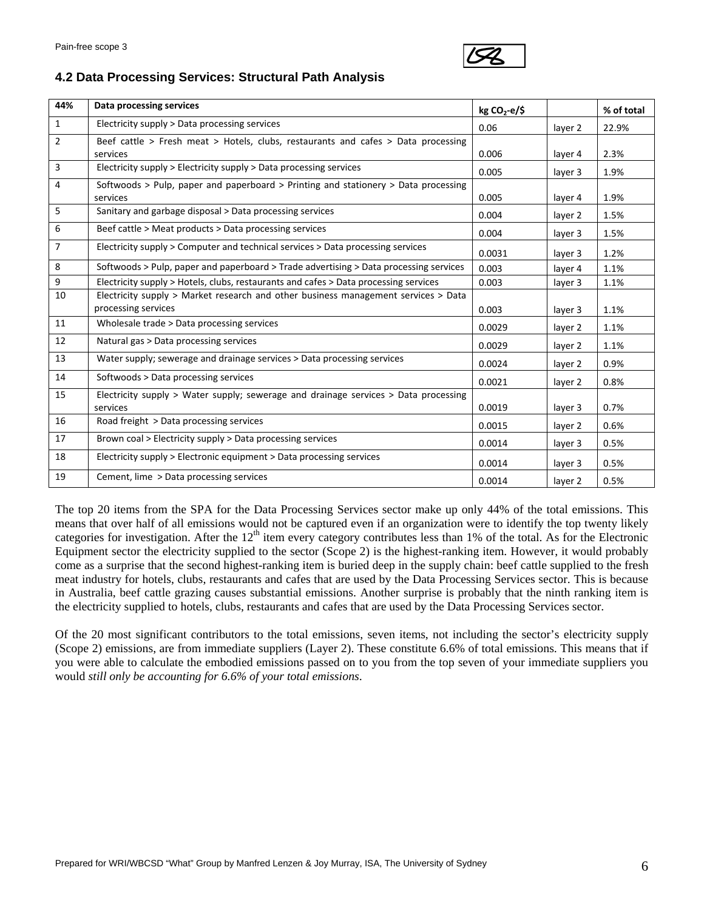

## **4.2 Data Processing Services: Structural Path Analysis**

| 44%            | Data processing services                                                                                  | $kg CO2-e/5$ |         | % of total |
|----------------|-----------------------------------------------------------------------------------------------------------|--------------|---------|------------|
| $\mathbf{1}$   | Electricity supply > Data processing services                                                             | 0.06         | layer 2 | 22.9%      |
| $\overline{2}$ | Beef cattle > Fresh meat > Hotels, clubs, restaurants and cafes > Data processing<br>services             | 0.006        | layer 4 | 2.3%       |
| 3              | Electricity supply > Electricity supply > Data processing services                                        | 0.005        | layer 3 | 1.9%       |
| 4              | Softwoods > Pulp, paper and paperboard > Printing and stationery > Data processing<br>services            | 0.005        | layer 4 | 1.9%       |
| 5              | Sanitary and garbage disposal > Data processing services                                                  | 0.004        | layer 2 | 1.5%       |
| 6              | Beef cattle > Meat products > Data processing services                                                    | 0.004        | layer 3 | 1.5%       |
| $\overline{7}$ | Electricity supply > Computer and technical services > Data processing services                           | 0.0031       | layer 3 | 1.2%       |
| 8              | Softwoods > Pulp, paper and paperboard > Trade advertising > Data processing services                     | 0.003        | layer 4 | 1.1%       |
| 9              | Electricity supply > Hotels, clubs, restaurants and cafes > Data processing services                      | 0.003        | layer 3 | 1.1%       |
| 10             | Electricity supply > Market research and other business management services > Data<br>processing services | 0.003        | layer 3 | 1.1%       |
| 11             | Wholesale trade > Data processing services                                                                | 0.0029       | layer 2 | 1.1%       |
| 12             | Natural gas > Data processing services                                                                    | 0.0029       | layer 2 | 1.1%       |
| 13             | Water supply; sewerage and drainage services > Data processing services                                   | 0.0024       | layer 2 | 0.9%       |
| 14             | Softwoods > Data processing services                                                                      | 0.0021       | layer 2 | 0.8%       |
| 15             | Electricity supply > Water supply; sewerage and drainage services > Data processing<br>services           | 0.0019       | layer 3 | 0.7%       |
| 16             | Road freight > Data processing services                                                                   | 0.0015       | layer 2 | 0.6%       |
| 17             | Brown coal > Electricity supply > Data processing services                                                | 0.0014       | layer 3 | 0.5%       |
| 18             | Electricity supply > Electronic equipment > Data processing services                                      | 0.0014       | layer 3 | 0.5%       |
| 19             | Cement, lime > Data processing services                                                                   | 0.0014       | layer 2 | 0.5%       |

The top 20 items from the SPA for the Data Processing Services sector make up only 44% of the total emissions. This means that over half of all emissions would not be captured even if an organization were to identify the top twenty likely categories for investigation. After the  $12<sup>th</sup>$  item every category contributes less than 1% of the total. As for the Electronic Equipment sector the electricity supplied to the sector (Scope 2) is the highest-ranking item. However, it would probably come as a surprise that the second highest-ranking item is buried deep in the supply chain: beef cattle supplied to the fresh meat industry for hotels, clubs, restaurants and cafes that are used by the Data Processing Services sector. This is because in Australia, beef cattle grazing causes substantial emissions. Another surprise is probably that the ninth ranking item is the electricity supplied to hotels, clubs, restaurants and cafes that are used by the Data Processing Services sector.

Of the 20 most significant contributors to the total emissions, seven items, not including the sector's electricity supply (Scope 2) emissions, are from immediate suppliers (Layer 2). These constitute 6.6% of total emissions. This means that if you were able to calculate the embodied emissions passed on to you from the top seven of your immediate suppliers you would *still only be accounting for 6.6% of your total emissions*.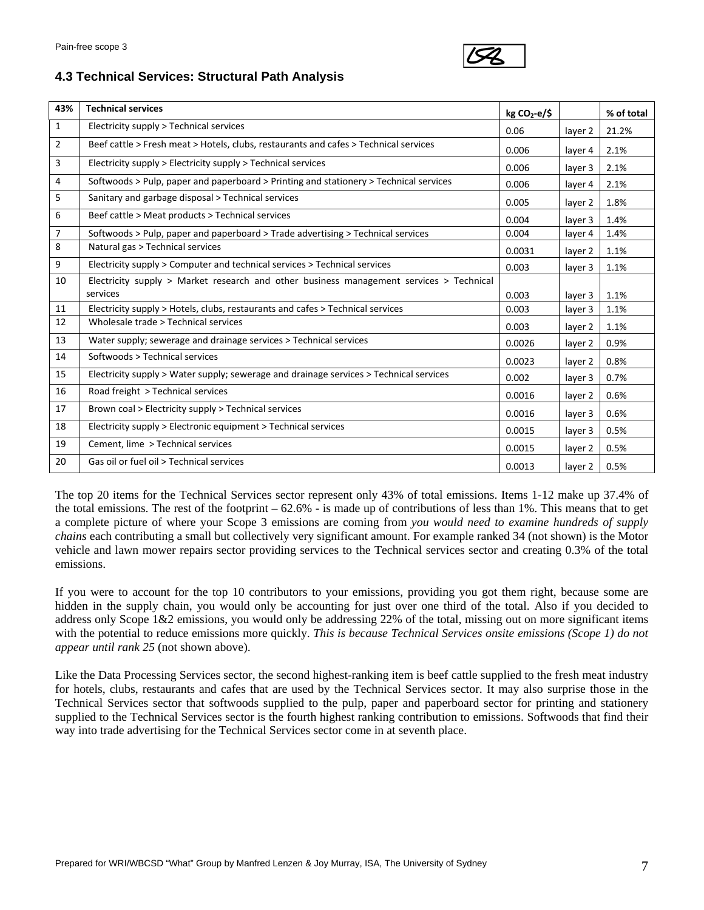

#### **4.3 Technical Services: Structural Path Analysis**

| 43%            | <b>Technical services</b>                                                               | $kg CO2-e/5$ |         | % of total |
|----------------|-----------------------------------------------------------------------------------------|--------------|---------|------------|
| $\mathbf{1}$   | Electricity supply > Technical services                                                 | 0.06         | layer 2 | 21.2%      |
| $\overline{2}$ | Beef cattle > Fresh meat > Hotels, clubs, restaurants and cafes > Technical services    | 0.006        | layer 4 | 2.1%       |
| 3              | Electricity supply > Electricity supply > Technical services                            | 0.006        | layer 3 | 2.1%       |
| 4              | Softwoods > Pulp, paper and paperboard > Printing and stationery > Technical services   | 0.006        | layer 4 | 2.1%       |
| 5              | Sanitary and garbage disposal > Technical services                                      | 0.005        | layer 2 | 1.8%       |
| 6              | Beef cattle > Meat products > Technical services                                        | 0.004        | layer 3 | 1.4%       |
| $\overline{7}$ | Softwoods > Pulp, paper and paperboard > Trade advertising > Technical services         | 0.004        | layer 4 | 1.4%       |
| 8              | Natural gas > Technical services                                                        | 0.0031       | layer 2 | 1.1%       |
| 9              | Electricity supply > Computer and technical services > Technical services               | 0.003        | layer 3 | 1.1%       |
| 10             | Electricity supply > Market research and other business management services > Technical |              |         |            |
|                | services                                                                                | 0.003        | layer 3 | 1.1%       |
| 11             | Electricity supply > Hotels, clubs, restaurants and cafes > Technical services          | 0.003        | layer 3 | 1.1%       |
| 12             | Wholesale trade > Technical services                                                    | 0.003        | layer 2 | 1.1%       |
| 13             | Water supply; sewerage and drainage services > Technical services                       | 0.0026       | layer 2 | 0.9%       |
| 14             | Softwoods > Technical services                                                          | 0.0023       | layer 2 | 0.8%       |
| 15             | Electricity supply > Water supply; sewerage and drainage services > Technical services  | 0.002        | layer 3 | 0.7%       |
| 16             | Road freight > Technical services                                                       | 0.0016       | layer 2 | 0.6%       |
| 17             | Brown coal > Electricity supply > Technical services                                    | 0.0016       | layer 3 | 0.6%       |
| 18             | Electricity supply > Electronic equipment > Technical services                          | 0.0015       | layer 3 | 0.5%       |
| 19             | Cement, lime > Technical services                                                       | 0.0015       | layer 2 | 0.5%       |
| 20             | Gas oil or fuel oil > Technical services                                                | 0.0013       | layer 2 | 0.5%       |

The top 20 items for the Technical Services sector represent only 43% of total emissions. Items 1-12 make up 37.4% of the total emissions. The rest of the footprint  $-62.6\%$  - is made up of contributions of less than 1%. This means that to get a complete picture of where your Scope 3 emissions are coming from *you would need to examine hundreds of supply chains* each contributing a small but collectively very significant amount. For example ranked 34 (not shown) is the Motor vehicle and lawn mower repairs sector providing services to the Technical services sector and creating 0.3% of the total emissions.

If you were to account for the top 10 contributors to your emissions, providing you got them right, because some are hidden in the supply chain, you would only be accounting for just over one third of the total. Also if you decided to address only Scope 1&2 emissions, you would only be addressing 22% of the total, missing out on more significant items with the potential to reduce emissions more quickly. *This is because Technical Services onsite emissions (Scope 1) do not appear until rank 25* (not shown above).

Like the Data Processing Services sector, the second highest-ranking item is beef cattle supplied to the fresh meat industry for hotels, clubs, restaurants and cafes that are used by the Technical Services sector. It may also surprise those in the Technical Services sector that softwoods supplied to the pulp, paper and paperboard sector for printing and stationery supplied to the Technical Services sector is the fourth highest ranking contribution to emissions. Softwoods that find their way into trade advertising for the Technical Services sector come in at seventh place.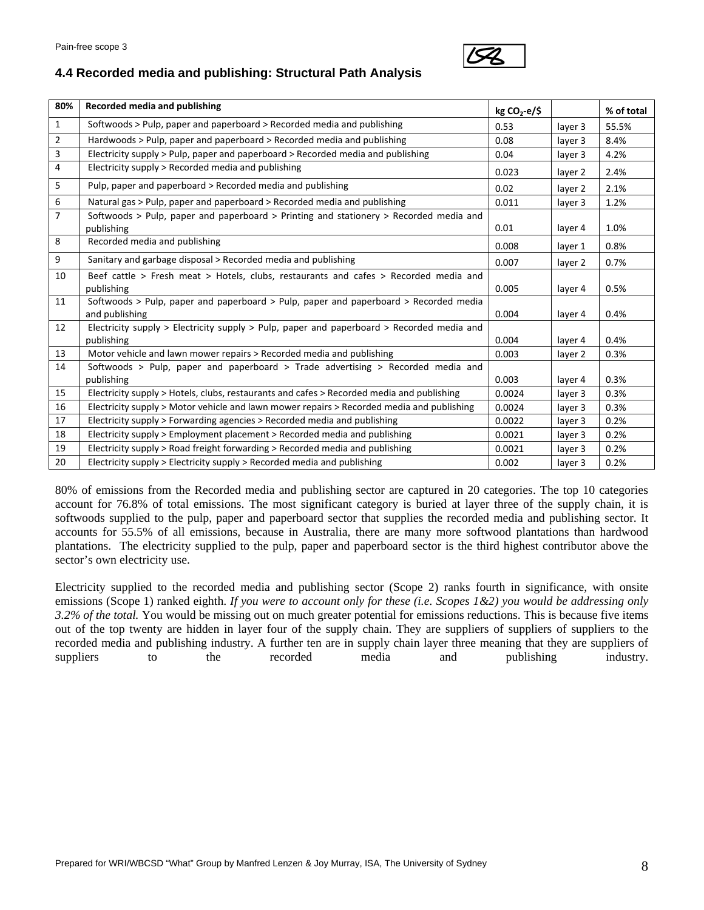

# **4.4 Recorded media and publishing: Structural Path Analysis**

| 80%            | Recorded media and publishing                                                                             | $kg CO2-e/5$ |         | % of total |
|----------------|-----------------------------------------------------------------------------------------------------------|--------------|---------|------------|
| $\mathbf{1}$   | Softwoods > Pulp, paper and paperboard > Recorded media and publishing                                    | 0.53         | layer 3 | 55.5%      |
| $\overline{2}$ | Hardwoods > Pulp, paper and paperboard > Recorded media and publishing                                    | 0.08         | layer 3 | 8.4%       |
| 3              | Electricity supply > Pulp, paper and paperboard > Recorded media and publishing                           | 0.04         | layer 3 | 4.2%       |
| 4              | Electricity supply > Recorded media and publishing                                                        | 0.023        | layer 2 | 2.4%       |
| 5              | Pulp, paper and paperboard > Recorded media and publishing                                                | 0.02         | layer 2 | 2.1%       |
| 6              | Natural gas > Pulp, paper and paperboard > Recorded media and publishing                                  | 0.011        | layer 3 | 1.2%       |
| $\overline{7}$ | Softwoods $>$ Pulp, paper and paperboard $>$ Printing and stationery $>$ Recorded media and<br>publishing | 0.01         | layer 4 | 1.0%       |
| 8              | Recorded media and publishing                                                                             | 0.008        | layer 1 | 0.8%       |
| 9              | Sanitary and garbage disposal > Recorded media and publishing                                             | 0.007        | layer 2 | 0.7%       |
| 10             | Beef cattle > Fresh meat > Hotels, clubs, restaurants and cafes > Recorded media and<br>publishing        | 0.005        | layer 4 | 0.5%       |
| 11             | Softwoods > Pulp, paper and paperboard > Pulp, paper and paperboard > Recorded media<br>and publishing    | 0.004        | layer 4 | 0.4%       |
| 12             | Electricity supply > Electricity supply > Pulp, paper and paperboard > Recorded media and<br>publishing   | 0.004        | layer 4 | 0.4%       |
| 13             | Motor vehicle and lawn mower repairs > Recorded media and publishing                                      | 0.003        | layer 2 | 0.3%       |
| 14             | Softwoods > Pulp, paper and paperboard > Trade advertising > Recorded media and<br>publishing             | 0.003        | layer 4 | 0.3%       |
| 15             | Electricity supply > Hotels, clubs, restaurants and cafes > Recorded media and publishing                 | 0.0024       | layer 3 | 0.3%       |
| 16             | Electricity supply > Motor vehicle and lawn mower repairs > Recorded media and publishing                 | 0.0024       | layer 3 | 0.3%       |
| 17             | Electricity supply > Forwarding agencies > Recorded media and publishing                                  | 0.0022       | layer 3 | 0.2%       |
| 18             | Electricity supply > Employment placement > Recorded media and publishing                                 | 0.0021       | layer 3 | 0.2%       |
| 19             | Electricity supply > Road freight forwarding > Recorded media and publishing                              | 0.0021       | layer 3 | 0.2%       |
| 20             | Electricity supply > Electricity supply > Recorded media and publishing                                   | 0.002        | layer 3 | 0.2%       |

80% of emissions from the Recorded media and publishing sector are captured in 20 categories. The top 10 categories account for 76.8% of total emissions. The most significant category is buried at layer three of the supply chain, it is softwoods supplied to the pulp, paper and paperboard sector that supplies the recorded media and publishing sector. It accounts for 55.5% of all emissions, because in Australia, there are many more softwood plantations than hardwood plantations. The electricity supplied to the pulp, paper and paperboard sector is the third highest contributor above the sector's own electricity use.

Electricity supplied to the recorded media and publishing sector (Scope 2) ranks fourth in significance, with onsite emissions (Scope 1) ranked eighth. *If you were to account only for these (i.e. Scopes 1&2) you would be addressing only 3.2% of the total.* You would be missing out on much greater potential for emissions reductions. This is because five items out of the top twenty are hidden in layer four of the supply chain. They are suppliers of suppliers of suppliers to the recorded media and publishing industry. A further ten are in supply chain layer three meaning that they are suppliers of suppliers to the recorded media and publishing industry.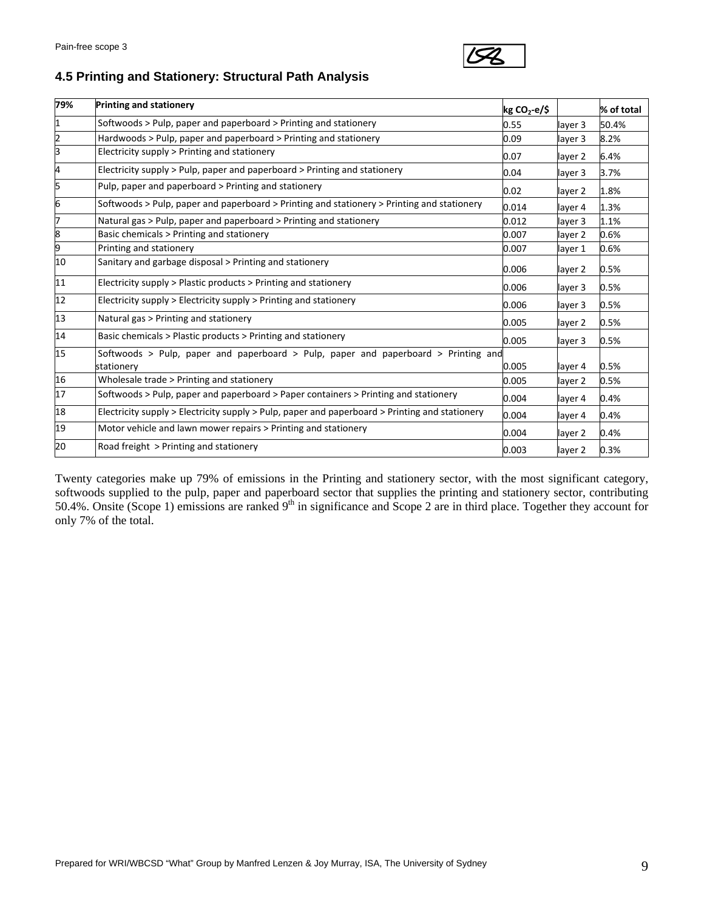

# **4.5 Printing and Stationery: Structural Path Analysis**

| 79% | <b>Printing and stationery</b>                                                                   | $kg CO2-e/S$ |         | % of total |
|-----|--------------------------------------------------------------------------------------------------|--------------|---------|------------|
| 1   | Softwoods > Pulp, paper and paperboard > Printing and stationery                                 | 0.55         | layer 3 | 50.4%      |
| 2   | Hardwoods > Pulp, paper and paperboard > Printing and stationery                                 | 0.09         | layer 3 | 8.2%       |
| 3   | Electricity supply > Printing and stationery                                                     | 0.07         | layer 2 | 6.4%       |
| 4   | Electricity supply > Pulp, paper and paperboard > Printing and stationery                        | 0.04         | layer 3 | 3.7%       |
| 5   | Pulp, paper and paperboard > Printing and stationery                                             | 0.02         | layer 2 | 1.8%       |
| 6   | Softwoods > Pulp, paper and paperboard > Printing and stationery > Printing and stationery       | 0.014        | layer 4 | 1.3%       |
| 7   | Natural gas > Pulp, paper and paperboard > Printing and stationery                               | 0.012        | layer 3 | 1.1%       |
| 8   | Basic chemicals > Printing and stationery                                                        | 0.007        | layer 2 | 0.6%       |
| 9   | Printing and stationery                                                                          | 0.007        | layer 1 | 0.6%       |
| 10  | Sanitary and garbage disposal > Printing and stationery                                          | 0.006        | layer 2 | 0.5%       |
| 11  | Electricity supply > Plastic products > Printing and stationery                                  | 0.006        | layer 3 | 0.5%       |
| 12  | Electricity supply > Electricity supply > Printing and stationery                                | 0.006        | layer 3 | 0.5%       |
| 13  | Natural gas > Printing and stationery                                                            | 0.005        | layer 2 | 0.5%       |
| 14  | Basic chemicals > Plastic products > Printing and stationery                                     | 0.005        | layer 3 | 0.5%       |
| 15  | Softwoods > Pulp, paper and paperboard > Pulp, paper and paperboard > Printing and<br>stationery | 0.005        | layer 4 | 0.5%       |
| 16  | Wholesale trade > Printing and stationery                                                        | 0.005        | layer 2 | 0.5%       |
| 17  | Softwoods > Pulp, paper and paperboard > Paper containers > Printing and stationery              | 0.004        | layer 4 | 0.4%       |
| 18  | Electricity supply > Electricity supply > Pulp, paper and paperboard > Printing and stationery   | 0.004        | layer 4 | 0.4%       |
| 19  | Motor vehicle and lawn mower repairs > Printing and stationery                                   | 0.004        | layer 2 | 0.4%       |
| 20  | Road freight > Printing and stationery                                                           | 0.003        | layer 2 | 0.3%       |

Twenty categories make up 79% of emissions in the Printing and stationery sector, with the most significant category, softwoods supplied to the pulp, paper and paperboard sector that supplies the printing and stationery sector, contributing 50.4%. Onsite (Scope 1) emissions are ranked 9<sup>th</sup> in significance and Scope 2 are in third place. Together they account for only 7% of the total.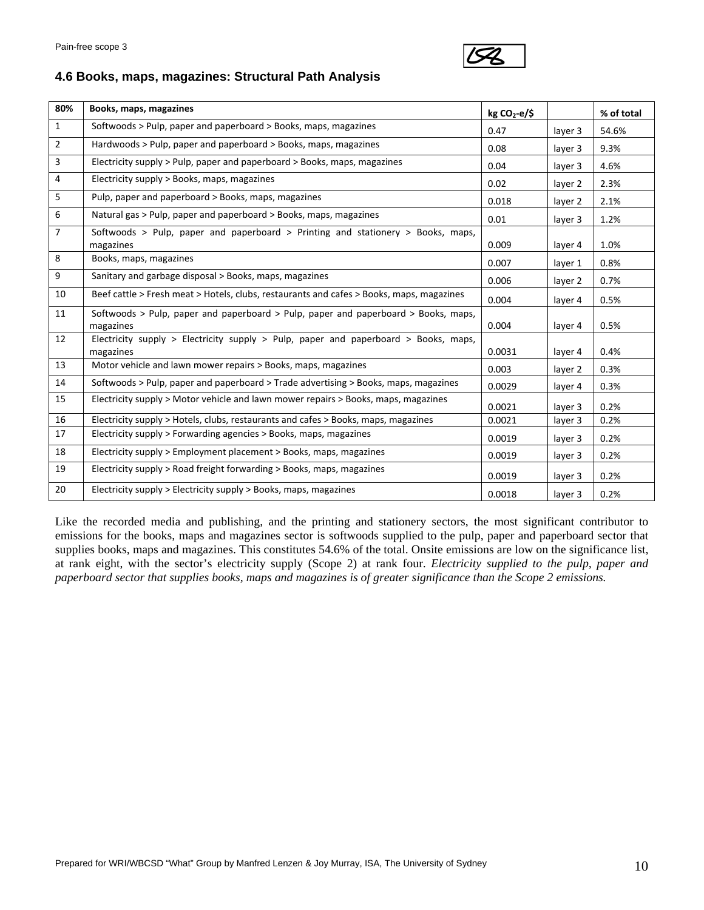

### **4.6 Books, maps, magazines: Structural Path Analysis**

| 80%            | Books, maps, magazines                                                                           | $kg CO2-e/5$ |         | % of total |
|----------------|--------------------------------------------------------------------------------------------------|--------------|---------|------------|
| $\mathbf{1}$   | Softwoods > Pulp, paper and paperboard > Books, maps, magazines                                  | 0.47         | layer 3 | 54.6%      |
| $\overline{2}$ | Hardwoods > Pulp, paper and paperboard > Books, maps, magazines                                  | 0.08         | layer 3 | 9.3%       |
| 3              | Electricity supply > Pulp, paper and paperboard > Books, maps, magazines                         | 0.04         | layer 3 | 4.6%       |
| 4              | Electricity supply > Books, maps, magazines                                                      | 0.02         | layer 2 | 2.3%       |
| 5              | Pulp, paper and paperboard > Books, maps, magazines                                              | 0.018        | layer 2 | 2.1%       |
| 6              | Natural gas > Pulp, paper and paperboard > Books, maps, magazines                                | 0.01         | layer 3 | 1.2%       |
| $\overline{7}$ | Softwoods > Pulp, paper and paperboard > Printing and stationery > Books, maps,<br>magazines     | 0.009        | layer 4 | 1.0%       |
| 8              | Books, maps, magazines                                                                           | 0.007        | layer 1 | 0.8%       |
| 9              | Sanitary and garbage disposal > Books, maps, magazines                                           | 0.006        | layer 2 | 0.7%       |
| 10             | Beef cattle > Fresh meat > Hotels, clubs, restaurants and cafes > Books, maps, magazines         | 0.004        | layer 4 | 0.5%       |
| 11             | Softwoods > Pulp, paper and paperboard > Pulp, paper and paperboard > Books, maps,<br>magazines  | 0.004        | layer 4 | 0.5%       |
| 12             | Electricity supply > Electricity supply > Pulp, paper and paperboard > Books, maps,<br>magazines | 0.0031       | layer 4 | 0.4%       |
| 13             | Motor vehicle and lawn mower repairs > Books, maps, magazines                                    | 0.003        | layer 2 | 0.3%       |
| 14             | Softwoods > Pulp, paper and paperboard > Trade advertising > Books, maps, magazines              | 0.0029       | layer 4 | 0.3%       |
| 15             | Electricity supply > Motor vehicle and lawn mower repairs > Books, maps, magazines               | 0.0021       | layer 3 | 0.2%       |
| 16             | Electricity supply > Hotels, clubs, restaurants and cafes > Books, maps, magazines               | 0.0021       | layer 3 | 0.2%       |
| 17             | Electricity supply > Forwarding agencies > Books, maps, magazines                                | 0.0019       | layer 3 | 0.2%       |
| 18             | Electricity supply > Employment placement > Books, maps, magazines                               | 0.0019       | layer 3 | 0.2%       |
| 19             | Electricity supply > Road freight forwarding > Books, maps, magazines                            | 0.0019       | layer 3 | 0.2%       |
| 20             | Electricity supply > Electricity supply > Books, maps, magazines                                 | 0.0018       | layer 3 | 0.2%       |

Like the recorded media and publishing, and the printing and stationery sectors, the most significant contributor to emissions for the books, maps and magazines sector is softwoods supplied to the pulp, paper and paperboard sector that supplies books, maps and magazines. This constitutes 54.6% of the total. Onsite emissions are low on the significance list, at rank eight, with the sector's electricity supply (Scope 2) at rank four. *Electricity supplied to the pulp, paper and paperboard sector that supplies books, maps and magazines is of greater significance than the Scope 2 emissions.*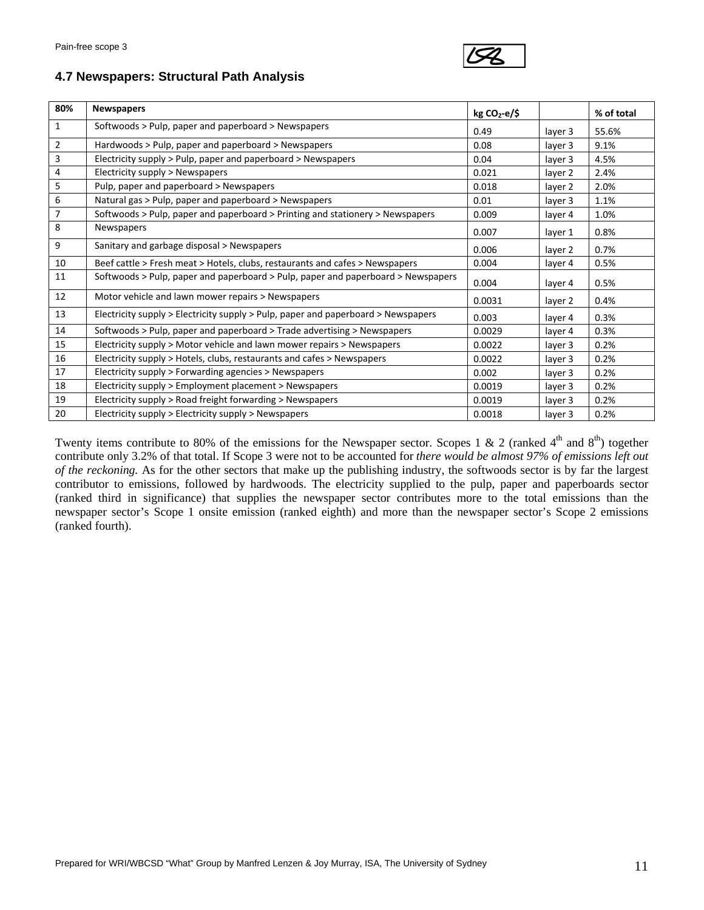

#### **4.7 Newspapers: Structural Path Analysis**

| 80%            | <b>Newspapers</b>                                                                 | $kg CO2-e/5$ |         | % of total |
|----------------|-----------------------------------------------------------------------------------|--------------|---------|------------|
| $\mathbf{1}$   | Softwoods > Pulp, paper and paperboard > Newspapers                               | 0.49         | layer 3 | 55.6%      |
| $\overline{2}$ | Hardwoods > Pulp, paper and paperboard > Newspapers                               | 0.08         | layer 3 | 9.1%       |
| 3              | Electricity supply > Pulp, paper and paperboard > Newspapers                      | 0.04         | layer 3 | 4.5%       |
| 4              | Electricity supply > Newspapers                                                   | 0.021        | layer 2 | 2.4%       |
| 5              | Pulp, paper and paperboard > Newspapers                                           | 0.018        | layer 2 | 2.0%       |
| 6              | Natural gas > Pulp, paper and paperboard > Newspapers                             | 0.01         | layer 3 | 1.1%       |
| $\overline{7}$ | Softwoods > Pulp, paper and paperboard > Printing and stationery > Newspapers     | 0.009        | layer 4 | 1.0%       |
| 8              | Newspapers                                                                        | 0.007        | layer 1 | 0.8%       |
| 9              | Sanitary and garbage disposal > Newspapers                                        | 0.006        | layer 2 | 0.7%       |
| 10             | Beef cattle > Fresh meat > Hotels, clubs, restaurants and cafes > Newspapers      | 0.004        | layer 4 | 0.5%       |
| 11             | Softwoods > Pulp, paper and paperboard > Pulp, paper and paperboard > Newspapers  | 0.004        | layer 4 | 0.5%       |
| 12             | Motor vehicle and lawn mower repairs > Newspapers                                 | 0.0031       | layer 2 | 0.4%       |
| 13             | Electricity supply > Electricity supply > Pulp, paper and paperboard > Newspapers | 0.003        | layer 4 | 0.3%       |
| 14             | Softwoods > Pulp, paper and paperboard > Trade advertising > Newspapers           | 0.0029       | layer 4 | 0.3%       |
| 15             | Electricity supply > Motor vehicle and lawn mower repairs > Newspapers            | 0.0022       | layer 3 | 0.2%       |
| 16             | Electricity supply > Hotels, clubs, restaurants and cafes > Newspapers            | 0.0022       | layer 3 | 0.2%       |
| 17             | Electricity supply > Forwarding agencies > Newspapers                             | 0.002        | layer 3 | 0.2%       |
| 18             | Electricity supply > Employment placement > Newspapers                            | 0.0019       | layer 3 | 0.2%       |
| 19             | Electricity supply > Road freight forwarding > Newspapers                         | 0.0019       | layer 3 | 0.2%       |
| 20             | Electricity supply > Electricity supply > Newspapers                              | 0.0018       | layer 3 | 0.2%       |

Twenty items contribute to 80% of the emissions for the Newspaper sector. Scopes 1 & 2 (ranked  $4<sup>th</sup>$  and  $8<sup>th</sup>$ ) together contribute only 3.2% of that total. If Scope 3 were not to be accounted for *there would be almost 97% of emissions left out of the reckoning.* As for the other sectors that make up the publishing industry, the softwoods sector is by far the largest contributor to emissions, followed by hardwoods. The electricity supplied to the pulp, paper and paperboards sector (ranked third in significance) that supplies the newspaper sector contributes more to the total emissions than the newspaper sector's Scope 1 onsite emission (ranked eighth) and more than the newspaper sector's Scope 2 emissions (ranked fourth).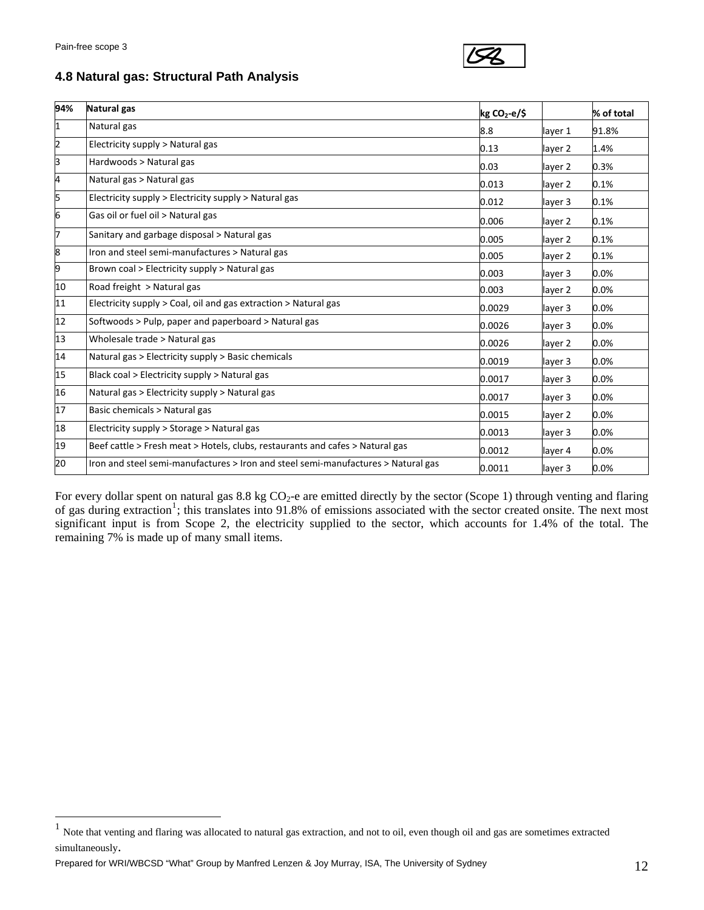$\overline{a}$ 



## **4.8 Natural gas: Structural Path Analysis**

| 94%            | Natural gas                                                                       | $kg CO2-e/5$ |         | % of total |
|----------------|-----------------------------------------------------------------------------------|--------------|---------|------------|
| 1              | Natural gas                                                                       | 8.8          | layer 1 | 91.8%      |
| $\overline{2}$ | Electricity supply > Natural gas                                                  | 0.13         | layer 2 | 1.4%       |
| 3              | Hardwoods > Natural gas                                                           | 0.03         | layer 2 | 0.3%       |
| 4              | Natural gas > Natural gas                                                         | 0.013        | layer 2 | 0.1%       |
| 5              | Electricity supply > Electricity supply > Natural gas                             | 0.012        | layer 3 | 0.1%       |
| 6              | Gas oil or fuel oil > Natural gas                                                 | 0.006        | layer 2 | 0.1%       |
| 7              | Sanitary and garbage disposal > Natural gas                                       | 0.005        | layer 2 | 0.1%       |
| 8              | Iron and steel semi-manufactures > Natural gas                                    | 0.005        | layer 2 | 0.1%       |
| 9              | Brown coal > Electricity supply > Natural gas                                     | 0.003        | layer 3 | $0.0\%$    |
| 10             | Road freight > Natural gas                                                        | 0.003        | layer 2 | 0.0%       |
| 11             | Electricity supply > Coal, oil and gas extraction > Natural gas                   | 0.0029       | layer 3 | 0.0%       |
| 12             | Softwoods > Pulp, paper and paperboard > Natural gas                              | 0.0026       | layer 3 | 0.0%       |
| 13             | Wholesale trade > Natural gas                                                     | 0.0026       | layer 2 | $0.0\%$    |
| 14             | Natural gas > Electricity supply > Basic chemicals                                | 0.0019       | layer 3 | 0.0%       |
| 15             | Black coal > Electricity supply > Natural gas                                     | 0.0017       | layer 3 | $0.0\%$    |
| 16             | Natural gas > Electricity supply > Natural gas                                    | 0.0017       | layer 3 | $0.0\%$    |
| 17             | Basic chemicals > Natural gas                                                     | 0.0015       | layer 2 | $0.0\%$    |
| 18             | Electricity supply > Storage > Natural gas                                        | 0.0013       | layer 3 | $0.0\%$    |
| 19             | Beef cattle > Fresh meat > Hotels, clubs, restaurants and cafes > Natural gas     | 0.0012       | layer 4 | 0.0%       |
| 20             | Iron and steel semi-manufactures > Iron and steel semi-manufactures > Natural gas | 0.0011       | layer 3 | 0.0%       |

For every dollar spent on natural gas  $8.8 \text{ kg CO}_2$ -e are emitted directly by the sector (Scope 1) through venting and flaring of gas during extraction<sup>[1](#page-11-0)</sup>; this translates into 91.8% of emissions associated with the sector created onsite. The next most significant input is from Scope 2, the electricity supplied to the sector, which accounts for 1.4% of the total. The remaining 7% is made up of many small items.

Prepared for WRI/WBCSD "What" Group by Manfred Lenzen & Joy Murray, ISA, The University of Sydney 12

<span id="page-11-0"></span> $<sup>1</sup>$  Note that venting and flaring was allocated to natural gas extraction, and not to oil, even though oil and gas are sometimes extracted</sup> simultaneously.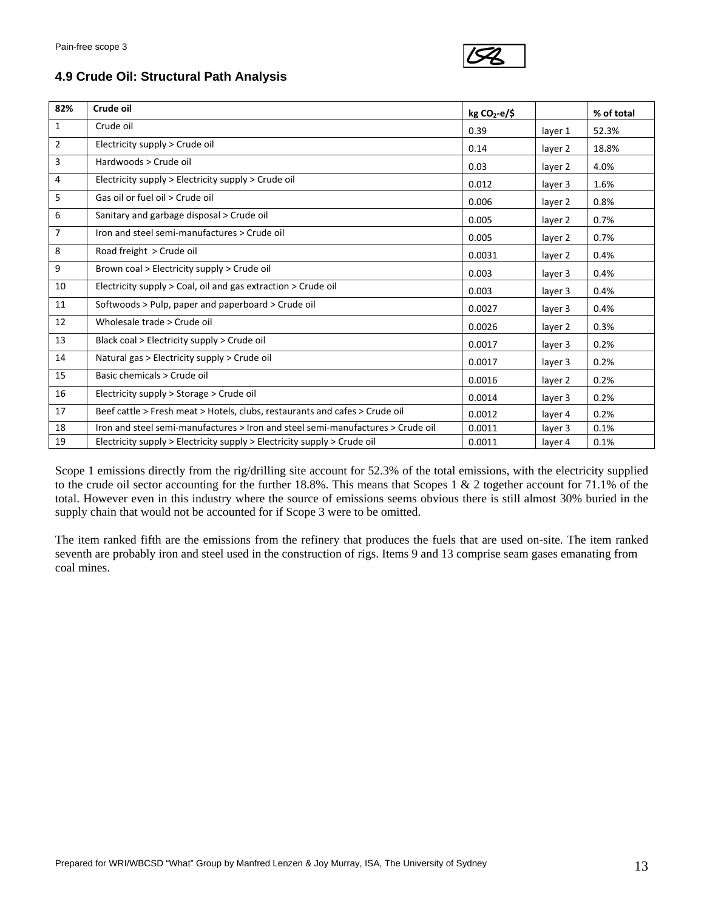

#### **4.9 Crude Oil: Structural Path Analysis**

| 82%            | Crude oil                                                                       | $kg CO2-e/5$ |         | % of total |
|----------------|---------------------------------------------------------------------------------|--------------|---------|------------|
| 1              | Crude oil                                                                       | 0.39         | layer 1 | 52.3%      |
| $\overline{2}$ | Electricity supply > Crude oil                                                  | 0.14         | layer 2 | 18.8%      |
| 3              | Hardwoods > Crude oil                                                           | 0.03         | layer 2 | 4.0%       |
| 4              | Electricity supply > Electricity supply > Crude oil                             | 0.012        | layer 3 | 1.6%       |
| 5              | Gas oil or fuel oil > Crude oil                                                 | 0.006        | layer 2 | 0.8%       |
| 6              | Sanitary and garbage disposal > Crude oil                                       | 0.005        | layer 2 | 0.7%       |
| 7              | Iron and steel semi-manufactures > Crude oil                                    | 0.005        | layer 2 | 0.7%       |
| 8              | Road freight > Crude oil                                                        | 0.0031       | layer 2 | 0.4%       |
| 9              | Brown coal > Electricity supply > Crude oil                                     | 0.003        | layer 3 | 0.4%       |
| 10             | Electricity supply > Coal, oil and gas extraction > Crude oil                   | 0.003        | layer 3 | 0.4%       |
| 11             | Softwoods > Pulp, paper and paperboard > Crude oil                              | 0.0027       | layer 3 | 0.4%       |
| 12             | Wholesale trade > Crude oil                                                     | 0.0026       | layer 2 | 0.3%       |
| 13             | Black coal > Electricity supply > Crude oil                                     | 0.0017       | layer 3 | 0.2%       |
| 14             | Natural gas > Electricity supply > Crude oil                                    | 0.0017       | layer 3 | 0.2%       |
| 15             | Basic chemicals > Crude oil                                                     | 0.0016       | layer 2 | 0.2%       |
| 16             | Electricity supply > Storage > Crude oil                                        | 0.0014       | layer 3 | 0.2%       |
| 17             | Beef cattle > Fresh meat > Hotels, clubs, restaurants and cafes > Crude oil     | 0.0012       | layer 4 | 0.2%       |
| 18             | Iron and steel semi-manufactures > Iron and steel semi-manufactures > Crude oil | 0.0011       | layer 3 | 0.1%       |
| 19             | Electricity supply > Electricity supply > Electricity supply > Crude oil        | 0.0011       | layer 4 | 0.1%       |

Scope 1 emissions directly from the rig/drilling site account for 52.3% of the total emissions, with the electricity supplied to the crude oil sector accounting for the further 18.8%. This means that Scopes 1 & 2 together account for 71.1% of the total. However even in this industry where the source of emissions seems obvious there is still almost 30% buried in the supply chain that would not be accounted for if Scope 3 were to be omitted.

The item ranked fifth are the emissions from the refinery that produces the fuels that are used on-site. The item ranked seventh are probably iron and steel used in the construction of rigs. Items 9 and 13 comprise seam gases emanating from coal mines.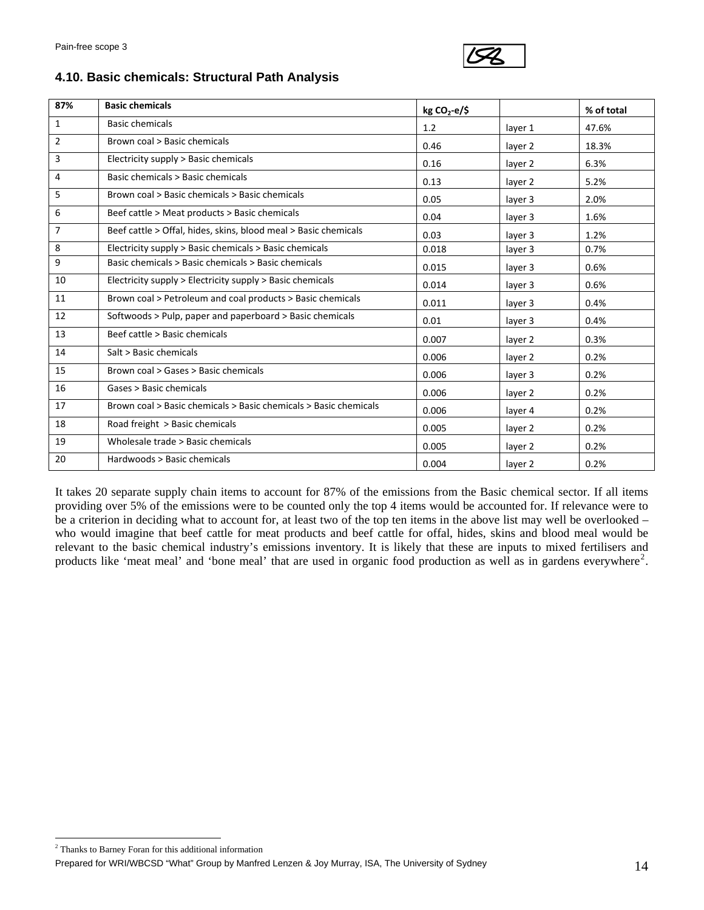

#### **4.10. Basic chemicals: Structural Path Analysis**

| 87%            | <b>Basic chemicals</b>                                           | $kg CO2-e/5$ |         | % of total |
|----------------|------------------------------------------------------------------|--------------|---------|------------|
| $\mathbf{1}$   | <b>Basic chemicals</b>                                           | 1.2          | layer 1 | 47.6%      |
| $\overline{2}$ | Brown coal > Basic chemicals                                     | 0.46         | layer 2 | 18.3%      |
| 3              | Electricity supply > Basic chemicals                             | 0.16         | layer 2 | 6.3%       |
| 4              | Basic chemicals > Basic chemicals                                | 0.13         | layer 2 | 5.2%       |
| 5.             | Brown coal > Basic chemicals > Basic chemicals                   | 0.05         | layer 3 | 2.0%       |
| 6              | Beef cattle > Meat products > Basic chemicals                    | 0.04         | layer 3 | 1.6%       |
| $\overline{7}$ | Beef cattle > Offal, hides, skins, blood meal > Basic chemicals  | 0.03         | layer 3 | 1.2%       |
| 8              | Electricity supply > Basic chemicals > Basic chemicals           | 0.018        | layer 3 | 0.7%       |
| 9              | Basic chemicals > Basic chemicals > Basic chemicals              | 0.015        | layer 3 | 0.6%       |
| 10             | Electricity supply > Electricity supply > Basic chemicals        | 0.014        | layer 3 | 0.6%       |
| 11             | Brown coal > Petroleum and coal products > Basic chemicals       | 0.011        | layer 3 | 0.4%       |
| 12             | Softwoods > Pulp, paper and paperboard > Basic chemicals         | 0.01         | layer 3 | 0.4%       |
| 13             | Beef cattle > Basic chemicals                                    | 0.007        | layer 2 | 0.3%       |
| 14             | Salt > Basic chemicals                                           | 0.006        | layer 2 | 0.2%       |
| 15             | Brown coal > Gases > Basic chemicals                             | 0.006        | layer 3 | 0.2%       |
| 16             | Gases > Basic chemicals                                          | 0.006        | layer 2 | 0.2%       |
| 17             | Brown coal > Basic chemicals > Basic chemicals > Basic chemicals | 0.006        | layer 4 | 0.2%       |
| 18             | Road freight > Basic chemicals                                   | 0.005        | layer 2 | 0.2%       |
| 19             | Wholesale trade > Basic chemicals                                | 0.005        | layer 2 | 0.2%       |
| 20             | Hardwoods > Basic chemicals                                      | 0.004        | layer 2 | 0.2%       |

It takes 20 separate supply chain items to account for 87% of the emissions from the Basic chemical sector. If all items providing over 5% of the emissions were to be counted only the top 4 items would be accounted for. If relevance were to be a criterion in deciding what to account for, at least two of the top ten items in the above list may well be overlooked – who would imagine that beef cattle for meat products and beef cattle for offal, hides, skins and blood meal would be relevant to the basic chemical industry's emissions inventory. It is likely that these are inputs to mixed fertilisers and products like 'meat meal' and 'bone meal' that are used in organic food production as well as in gardens everywhere<sup>[2](#page-13-0)</sup>.

<span id="page-13-0"></span><sup>&</sup>lt;sup>2</sup> Thanks to Barney Foran for this additional information

Prepared for WRI/WBCSD "What" Group by Manfred Lenzen & Joy Murray, ISA, The University of Sydney Management 14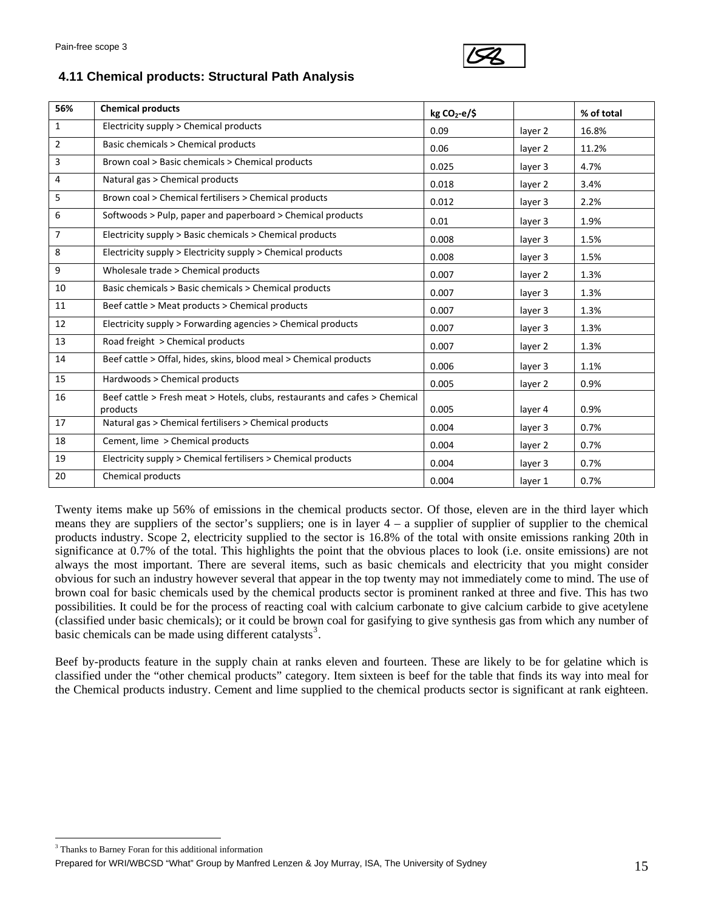

#### **4.11 Chemical products: Structural Path Analysis**

| 56%            | <b>Chemical products</b>                                                               | $kg CO2-e/5$ |         | % of total |
|----------------|----------------------------------------------------------------------------------------|--------------|---------|------------|
| $\mathbf{1}$   | Electricity supply > Chemical products                                                 | 0.09         | layer 2 | 16.8%      |
| $\overline{2}$ | Basic chemicals > Chemical products                                                    | 0.06         | layer 2 | 11.2%      |
| 3              | Brown coal > Basic chemicals > Chemical products                                       | 0.025        | layer 3 | 4.7%       |
| 4              | Natural gas > Chemical products                                                        | 0.018        | layer 2 | 3.4%       |
| 5              | Brown coal > Chemical fertilisers > Chemical products                                  | 0.012        | layer 3 | 2.2%       |
| 6              | Softwoods > Pulp, paper and paperboard > Chemical products                             | 0.01         | layer 3 | 1.9%       |
| $\overline{7}$ | Electricity supply > Basic chemicals > Chemical products                               | 0.008        | layer 3 | 1.5%       |
| 8              | Electricity supply > Electricity supply > Chemical products                            | 0.008        | layer 3 | 1.5%       |
| 9              | Wholesale trade > Chemical products                                                    | 0.007        | layer 2 | 1.3%       |
| 10             | Basic chemicals > Basic chemicals > Chemical products                                  | 0.007        | layer 3 | 1.3%       |
| 11             | Beef cattle > Meat products > Chemical products                                        | 0.007        | layer 3 | 1.3%       |
| 12             | Electricity supply > Forwarding agencies > Chemical products                           | 0.007        | layer 3 | 1.3%       |
| 13             | Road freight > Chemical products                                                       | 0.007        | layer 2 | 1.3%       |
| 14             | Beef cattle > Offal, hides, skins, blood meal > Chemical products                      | 0.006        | layer 3 | 1.1%       |
| 15             | Hardwoods > Chemical products                                                          | 0.005        | layer 2 | 0.9%       |
| 16             | Beef cattle > Fresh meat > Hotels, clubs, restaurants and cafes > Chemical<br>products | 0.005        | layer 4 | 0.9%       |
| 17             | Natural gas > Chemical fertilisers > Chemical products                                 | 0.004        | layer 3 | 0.7%       |
| 18             | Cement, lime > Chemical products                                                       | 0.004        | layer 2 | 0.7%       |
| 19             | Electricity supply > Chemical fertilisers > Chemical products                          | 0.004        | layer 3 | 0.7%       |
| 20             | Chemical products                                                                      | 0.004        | layer 1 | 0.7%       |

Twenty items make up 56% of emissions in the chemical products sector. Of those, eleven are in the third layer which means they are suppliers of the sector's suppliers; one is in layer 4 – a supplier of supplier of supplier to the chemical products industry. Scope 2, electricity supplied to the sector is 16.8% of the total with onsite emissions ranking 20th in significance at 0.7% of the total. This highlights the point that the obvious places to look (i.e. onsite emissions) are not always the most important. There are several items, such as basic chemicals and electricity that you might consider obvious for such an industry however several that appear in the top twenty may not immediately come to mind. The use of brown coal for basic chemicals used by the chemical products sector is prominent ranked at three and five. This has two possibilities. It could be for the process of reacting coal with calcium carbonate to give calcium carbide to give acetylene (classified under basic chemicals); or it could be brown coal for gasifying to give synthesis gas from which any number of basic chemicals can be made using different catalysts<sup>[3](#page-14-0)</sup>.

Beef by-products feature in the supply chain at ranks eleven and fourteen. These are likely to be for gelatine which is classified under the "other chemical products" category. Item sixteen is beef for the table that finds its way into meal for the Chemical products industry. Cement and lime supplied to the chemical products sector is significant at rank eighteen.

<span id="page-14-0"></span><sup>&</sup>lt;sup>3</sup> Thanks to Barney Foran for this additional information

Prepared for WRI/WBCSD "What" Group by Manfred Lenzen & Joy Murray, ISA, The University of Sydney 15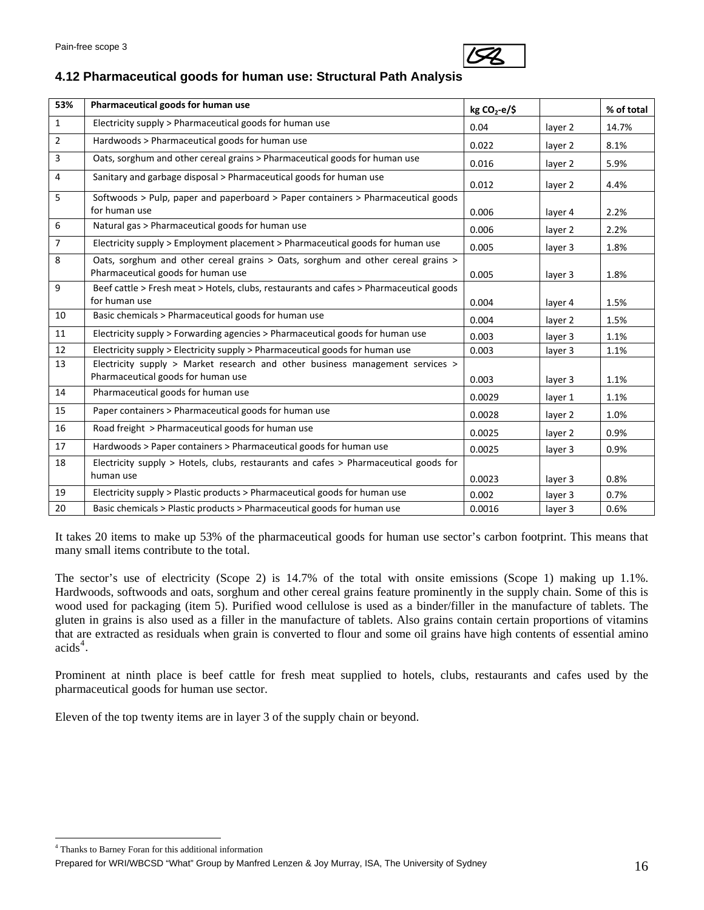

# **4.12 Pharmaceutical goods for human use: Structural Path Analysis**

| 53%            | Pharmaceutical goods for human use                                                                                    | $kg CO2-e/5$ |         | % of total |
|----------------|-----------------------------------------------------------------------------------------------------------------------|--------------|---------|------------|
| $\mathbf{1}$   | Electricity supply > Pharmaceutical goods for human use                                                               | 0.04         | layer 2 | 14.7%      |
| $\overline{2}$ | Hardwoods > Pharmaceutical goods for human use                                                                        | 0.022        | layer 2 | 8.1%       |
| 3              | Oats, sorghum and other cereal grains > Pharmaceutical goods for human use                                            | 0.016        | layer 2 | 5.9%       |
| 4              | Sanitary and garbage disposal > Pharmaceutical goods for human use                                                    | 0.012        | layer 2 | 4.4%       |
| 5              | Softwoods > Pulp, paper and paperboard > Paper containers > Pharmaceutical goods<br>for human use                     | 0.006        | layer 4 | 2.2%       |
| 6              | Natural gas > Pharmaceutical goods for human use                                                                      | 0.006        | layer 2 | 2.2%       |
| $\overline{7}$ | Electricity supply > Employment placement > Pharmaceutical goods for human use                                        | 0.005        | layer 3 | 1.8%       |
| 8              | Oats, sorghum and other cereal grains > Oats, sorghum and other cereal grains ><br>Pharmaceutical goods for human use | 0.005        | layer 3 | 1.8%       |
| 9              | Beef cattle > Fresh meat > Hotels, clubs, restaurants and cafes > Pharmaceutical goods<br>for human use               | 0.004        | layer 4 | 1.5%       |
| 10             | Basic chemicals > Pharmaceutical goods for human use                                                                  | 0.004        | layer 2 | 1.5%       |
| 11             | Electricity supply > Forwarding agencies > Pharmaceutical goods for human use                                         | 0.003        | layer 3 | 1.1%       |
| 12             | Electricity supply > Electricity supply > Pharmaceutical goods for human use                                          | 0.003        | layer 3 | 1.1%       |
| 13             | Electricity supply > Market research and other business management services >                                         |              |         |            |
|                | Pharmaceutical goods for human use                                                                                    | 0.003        | layer 3 | 1.1%       |
| 14             | Pharmaceutical goods for human use                                                                                    | 0.0029       | layer 1 | 1.1%       |
| 15             | Paper containers > Pharmaceutical goods for human use                                                                 | 0.0028       | layer 2 | 1.0%       |
| 16             | Road freight > Pharmaceutical goods for human use                                                                     | 0.0025       | layer 2 | 0.9%       |
| 17             | Hardwoods > Paper containers > Pharmaceutical goods for human use                                                     | 0.0025       | layer 3 | 0.9%       |
| 18             | Electricity supply > Hotels, clubs, restaurants and cafes > Pharmaceutical goods for                                  |              |         |            |
|                | human use                                                                                                             | 0.0023       | layer 3 | 0.8%       |
| 19             | Electricity supply > Plastic products > Pharmaceutical goods for human use                                            | 0.002        | layer 3 | 0.7%       |
| 20             | Basic chemicals > Plastic products > Pharmaceutical goods for human use                                               | 0.0016       | layer 3 | 0.6%       |

It takes 20 items to make up 53% of the pharmaceutical goods for human use sector's carbon footprint. This means that many small items contribute to the total.

The sector's use of electricity (Scope 2) is 14.7% of the total with onsite emissions (Scope 1) making up 1.1%. Hardwoods, softwoods and oats, sorghum and other cereal grains feature prominently in the supply chain. Some of this is wood used for packaging (item 5). Purified wood cellulose is used as a binder/filler in the manufacture of tablets. The gluten in grains is also used as a filler in the manufacture of tablets. Also grains contain certain proportions of vitamins that are extracted as residuals when grain is converted to flour and some oil grains have high contents of essential amino  $acids<sup>4</sup>$  $acids<sup>4</sup>$  $acids<sup>4</sup>$ .

Prominent at ninth place is beef cattle for fresh meat supplied to hotels, clubs, restaurants and cafes used by the pharmaceutical goods for human use sector.

Eleven of the top twenty items are in layer 3 of the supply chain or beyond.

<sup>4</sup> Thanks to Barney Foran for this additional information

<span id="page-15-0"></span>Prepared for WRI/WBCSD "What" Group by Manfred Lenzen & Joy Murray, ISA, The University of Sydney 16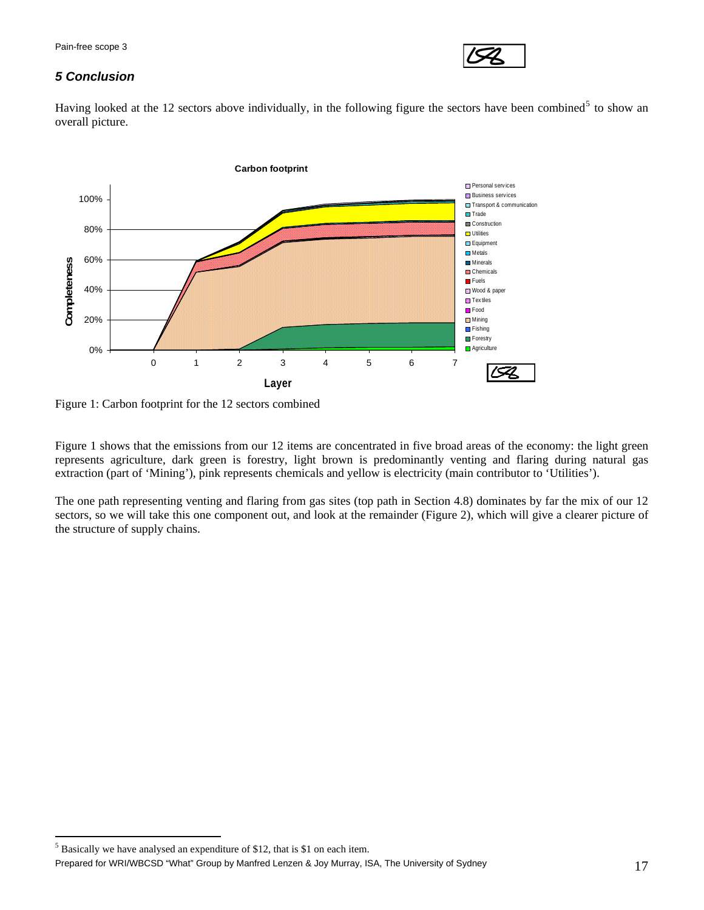

## *5 Conclusion*

Having looked at the 12 sectors above individually, in the following figure the sectors have been combined<sup>[5](#page-16-0)</sup> to show an overall picture.



Figure 1: Carbon footprint for the 12 sectors combined

Figure 1 shows that the emissions from our 12 items are concentrated in five broad areas of the economy: the light green represents agriculture, dark green is forestry, light brown is predominantly venting and flaring during natural gas extraction (part of 'Mining'), pink represents chemicals and yellow is electricity (main contributor to 'Utilities').

The one path representing venting and flaring from gas sites (top path in Section 4.8) dominates by far the mix of our 12 sectors, so we will take this one component out, and look at the remainder (Figure 2), which will give a clearer picture of the structure of supply chains.

<span id="page-16-0"></span> $<sup>5</sup>$  Basically we have analysed an expenditure of \$12, that is \$1 on each item.</sup>

Prepared for WRI/WBCSD "What" Group by Manfred Lenzen & Joy Murray, ISA, The University of Sydney 17